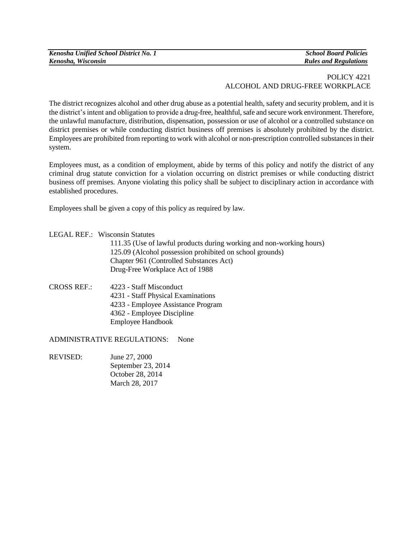| Kenosha Unified School District No. 1 |
|---------------------------------------|
| Kenosha, Wisconsin                    |

*Kenosha Unified School District No. 1 School Board Policies Kenosha, Wisconsin Rules and Regulations*

## POLICY 4221 ALCOHOL AND DRUG-FREE WORKPLACE

The district recognizes alcohol and other drug abuse as a potential health, safety and security problem, and it is the district's intent and obligation to provide a drug-free, healthful, safe and secure work environment. Therefore, the unlawful manufacture, distribution, dispensation, possession or use of alcohol or a controlled substance on district premises or while conducting district business off premises is absolutely prohibited by the district. Employees are prohibited from reporting to work with alcohol or non-prescription controlled substances in their system.

Employees must, as a condition of employment, abide by terms of this policy and notify the district of any criminal drug statute conviction for a violation occurring on district premises or while conducting district business off premises. Anyone violating this policy shall be subject to disciplinary action in accordance with established procedures.

Employees shall be given a copy of this policy as required by law.

| LEGAL REF.: Wisconsin Statutes |  |
|--------------------------------|--|
|                                |  |

111.35 (Use of lawful products during working and non-working hours) 125.09 (Alcohol possession prohibited on school grounds) Chapter 961 (Controlled Substances Act) Drug-Free Workplace Act of 1988

CROSS REF.: 4223 - Staff Misconduct 4231 - Staff Physical Examinations 4233 - Employee Assistance Program 4362 - Employee Discipline Employee Handbook

ADMINISTRATIVE REGULATIONS: None

REVISED: June 27, 2000 September 23, 2014 October 28, 2014 March 28, 2017